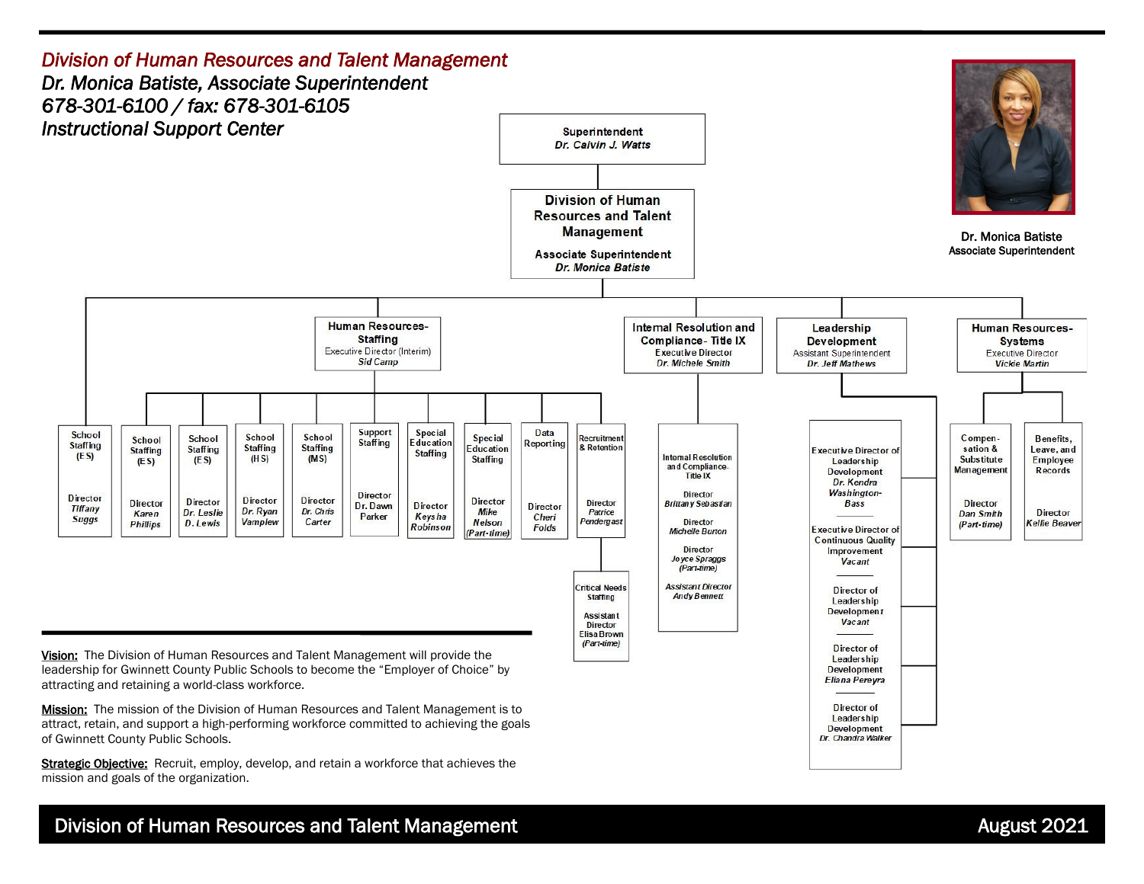

Strategic Objective: Recruit, employ, develop, and retain a workforce that achieves the mission and goals of the organization.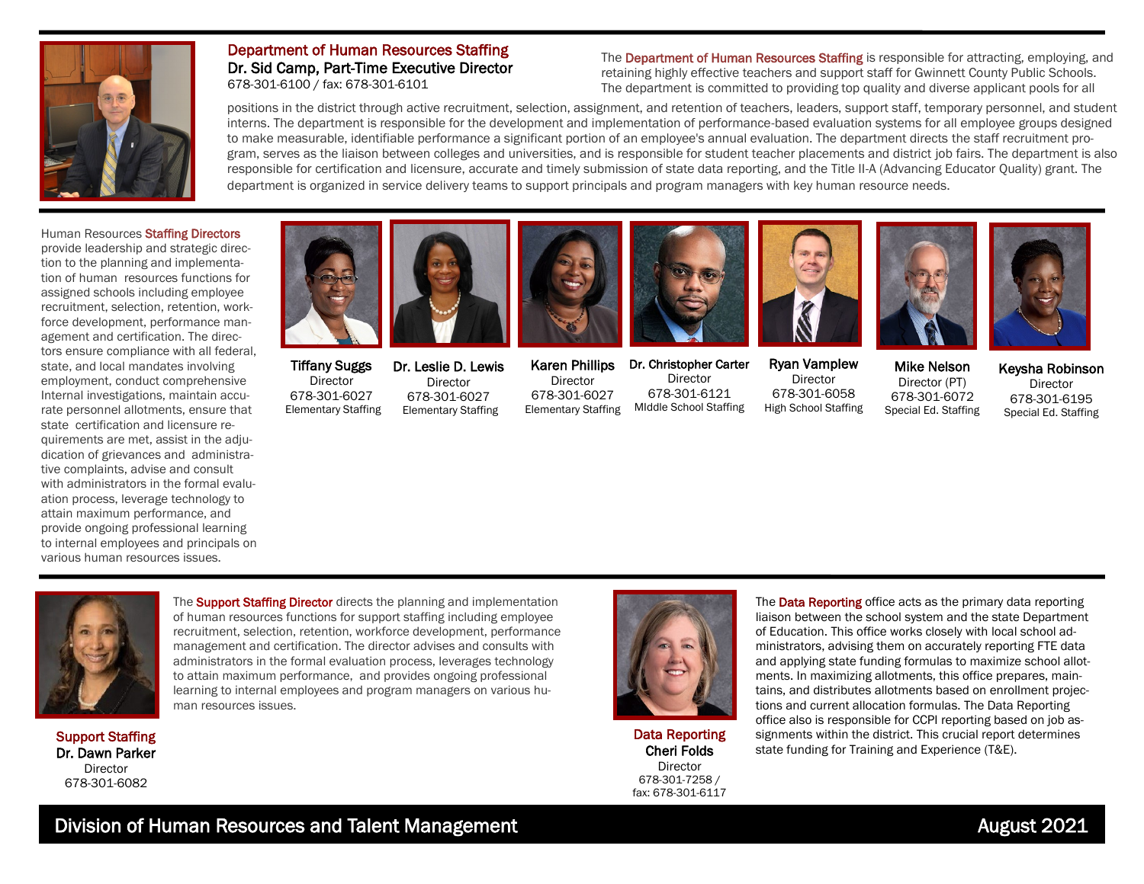

## Department of Human Resources Staffing Dr. Sid Camp, Part-Time Executive Director 678-301-6100 / fax: 678-301-6101

The Department of Human Resources Staffing is responsible for attracting, employing, and retaining highly effective teachers and support staff for Gwinnett County Public Schools. The department is committed to providing top quality and diverse applicant pools for all

positions in the district through active recruitment, selection, assignment, and retention of teachers, leaders, support staff, temporary personnel, and student interns. The department is responsible for the development and implementation of performance-based evaluation systems for all employee groups designed to make measurable, identifiable performance a significant portion of an employee's annual evaluation. The department directs the staff recruitment program, serves as the liaison between colleges and universities, and is responsible for student teacher placements and district job fairs. The department is also responsible for certification and licensure, accurate and timely submission of state data reporting, and the Title II-A (Advancing Educator Quality) grant. The department is organized in service delivery teams to support principals and program managers with key human resource needs.

Human Resources Staffing Directors provide leadership and strategic direction to the planning and implementation of human resources functions for assigned schools including employee recruitment, selection, retention, workforce development, performance management and certification. The directors ensure compliance with all federal, state, and local mandates involving employment, conduct comprehensive Internal investigations, maintain accurate personnel allotments, ensure that state certification and licensure requirements are met, assist in the adjudication of grievances and administrative complaints, advise and consult with administrators in the formal evaluation process, leverage technology to attain maximum performance, and provide ongoing professional learning to internal employees and principals on various human resources issues.



Tiffany Suggs Director 678-301-6027 Elementary Staffing



Dr. Leslie D. Lewis Director 678-301-6027 Elementary Staffing

Director 678-301-6027 Elementary Staffing



Karen Phillips Dr. Christopher Carter Director 678-301-6121 MIddle School Staffing



Ryan Vamplew Director 678-301-6058 High School Staffing

Mike Nelson Director (PT) 678-301-6072 Special Ed. Staffing

Keysha Robinson Director 678-301-6195 Special Ed. Staffing



The **Support Staffing Director** directs the planning and implementation of human resources functions for support staffing including employee recruitment, selection, retention, workforce development, performance management and certification. The director advises and consults with administrators in the formal evaluation process, leverages technology to attain maximum performance, and provides ongoing professional learning to internal employees and program managers on various human resources issues.

Support Staffing Dr. Dawn Parker **Director** 678-301-6082

Data Reporting Cheri Folds Director 678-301-7258 / fax: 678-301-6117 The **Data Reporting** office acts as the primary data reporting liaison between the school system and the state Department of Education. This office works closely with local school administrators, advising them on accurately reporting FTE data and applying state funding formulas to maximize school allotments. In maximizing allotments, this office prepares, maintains, and distributes allotments based on enrollment projections and current allocation formulas. The Data Reporting office also is responsible for CCPI reporting based on job assignments within the district. This crucial report determines state funding for Training and Experience (T&E).

# Division of Human Resources and Talent Management **August 2021** August 2021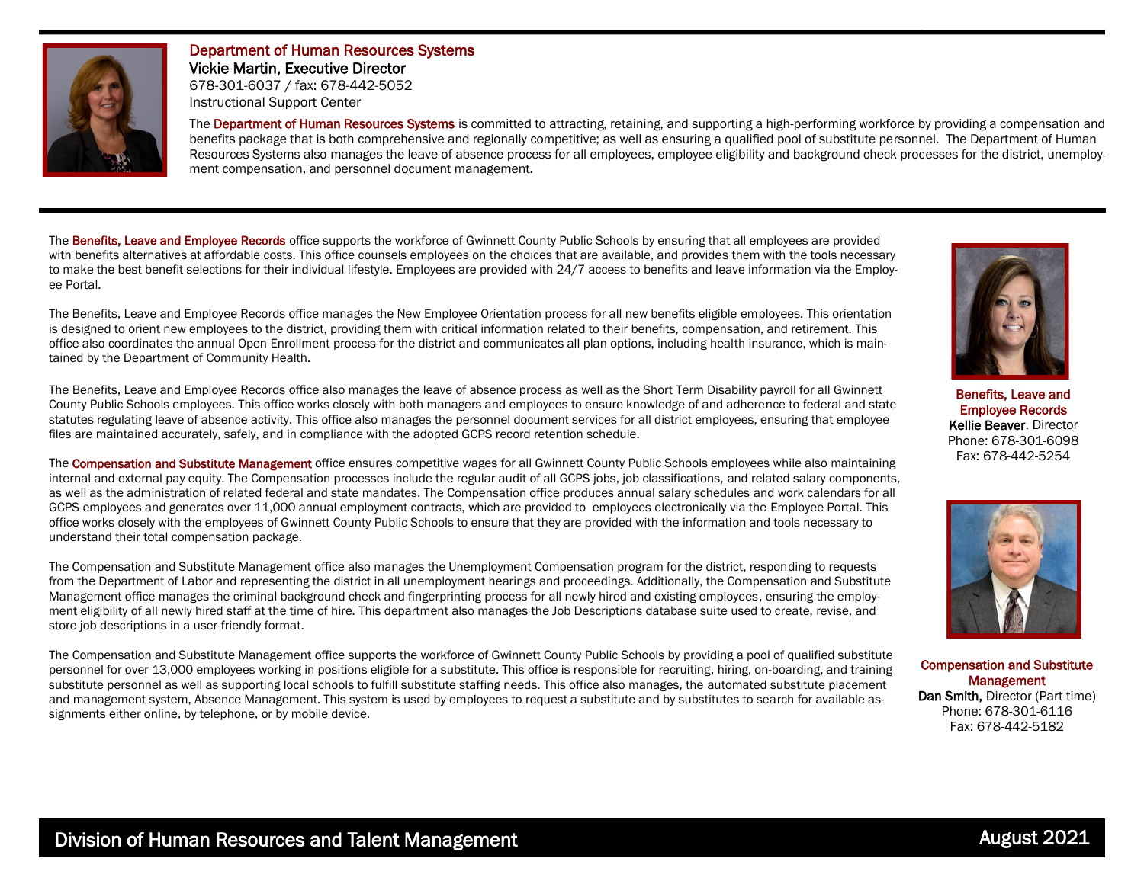

# Department of Human Resources Systems Vickie Martin, Executive Director 678-301-6037 / fax: 678-442-5052 Instructional Support Center

The Department of Human Resources Systems is committed to attracting, retaining, and supporting a high-performing workforce by providing a compensation and benefits package that is both comprehensive and regionally competitive; as well as ensuring a qualified pool of substitute personnel. The Department of Human Resources Systems also manages the leave of absence process for all employees, employee eligibility and background check processes for the district, unemployment compensation, and personnel document management.

The Benefits, Leave and Employee Records office supports the workforce of Gwinnett County Public Schools by ensuring that all employees are provided with benefits alternatives at affordable costs. This office counsels employees on the choices that are available, and provides them with the tools necessary to make the best benefit selections for their individual lifestyle. Employees are provided with 24/7 access to benefits and leave information via the Employee Portal.

The Benefits, Leave and Employee Records office manages the New Employee Orientation process for all new benefits eligible employees. This orientation is designed to orient new employees to the district, providing them with critical information related to their benefits, compensation, and retirement. This office also coordinates the annual Open Enrollment process for the district and communicates all plan options, including health insurance, which is maintained by the Department of Community Health.



Benefits, Leave and Employee Records Kellie Beaver, Director Phone: 678-301-6098 Fax: 678-442-5254



Compensation and Substitute **Management** Dan Smith, Director (Part-time) Phone: 678-301-6116 Fax: 678-442-5182

The Benefits, Leave and Employee Records office also manages the leave of absence process as well as the Short Term Disability payroll for all Gwinnett County Public Schools employees. This office works closely with both managers and employees to ensure knowledge of and adherence to federal and state statutes regulating leave of absence activity. This office also manages the personnel document services for all district employees, ensuring that employee files are maintained accurately, safely, and in compliance with the adopted GCPS record retention schedule.

The Compensation and Substitute Management office ensures competitive wages for all Gwinnett County Public Schools employees while also maintaining internal and external pay equity. The Compensation processes include the regular audit of all GCPS jobs, job classifications, and related salary components, as well as the administration of related federal and state mandates. The Compensation office produces annual salary schedules and work calendars for all GCPS employees and generates over 11,000 annual employment contracts, which are provided to employees electronically via the Employee Portal. This office works closely with the employees of Gwinnett County Public Schools to ensure that they are provided with the information and tools necessary to understand their total compensation package.

The Compensation and Substitute Management office also manages the Unemployment Compensation program for the district, responding to requests from the Department of Labor and representing the district in all unemployment hearings and proceedings. Additionally, the Compensation and Substitute Management office manages the criminal background check and fingerprinting process for all newly hired and existing employees, ensuring the employment eligibility of all newly hired staff at the time of hire. This department also manages the Job Descriptions database suite used to create, revise, and store job descriptions in a user-friendly format.

The Compensation and Substitute Management office supports the workforce of Gwinnett County Public Schools by providing a pool of qualified substitute personnel for over 13,000 employees working in positions eligible for a substitute. This office is responsible for recruiting, hiring, on-boarding, and training substitute personnel as well as supporting local schools to fulfill substitute staffing needs. This office also manages, the automated substitute placement and management system, Absence Management. This system is used by employees to request a substitute and by substitutes to search for available assignments either online, by telephone, or by mobile device.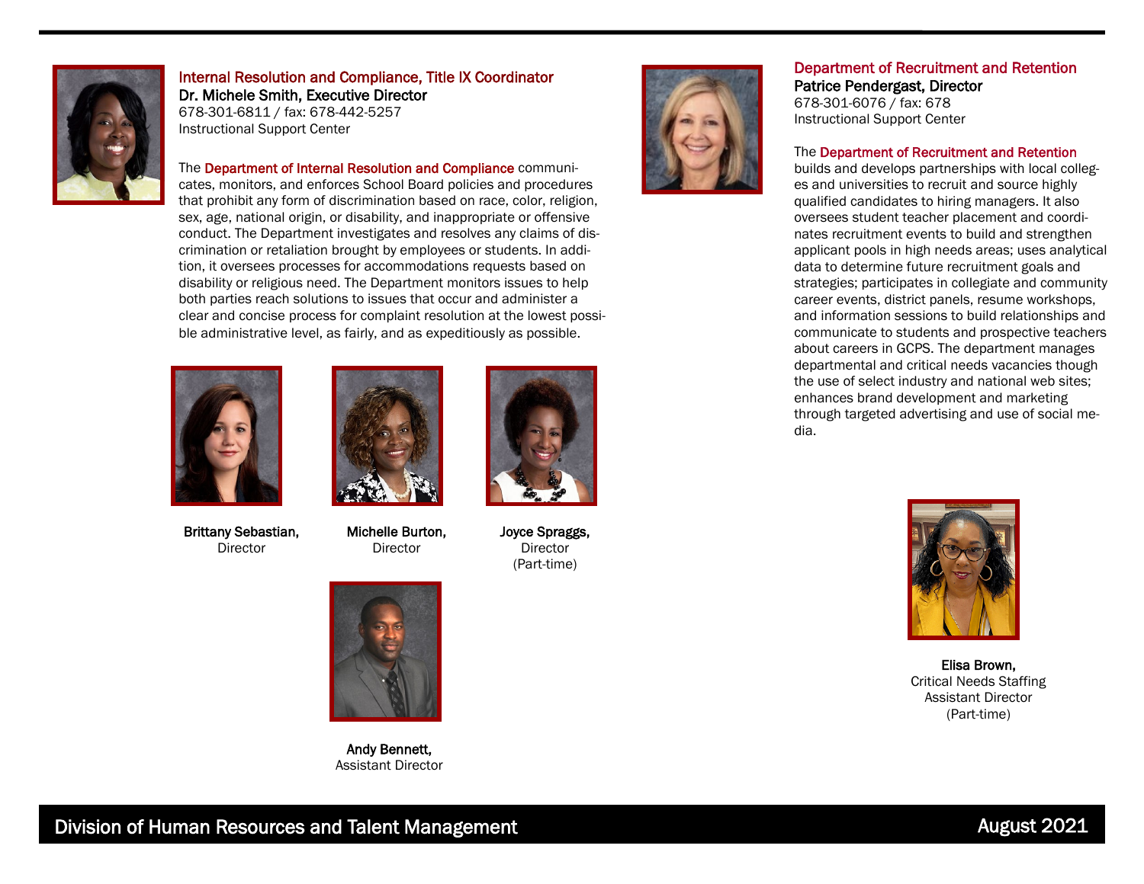

Internal Resolution and Compliance, Title IX Coordinator Dr. Michele Smith, Executive Director 678-301-6811 / fax: 678-442-5257 Instructional Support Center

The Department of Internal Resolution and Compliance communicates, monitors, and enforces School Board policies and procedures that prohibit any form of discrimination based on race, color, religion, sex, age, national origin, or disability, and inappropriate or offensive conduct. The Department investigates and resolves any claims of discrimination or retaliation brought by employees or students. In addition, it oversees processes for accommodations requests based on disability or religious need. The Department monitors issues to help both parties reach solutions to issues that occur and administer a clear and concise process for complaint resolution at the lowest possible administrative level, as fairly, and as expeditiously as possible.



Brittany Sebastian, Director



Michelle Burton, Director



Joyce Spraggs, Director (Part-time)



## Department of Recruitment and Retention Patrice Pendergast, Director

678-301-6076 / fax: 678 Instructional Support Center

#### The Department of Recruitment and Retention

builds and develops partnerships with local colleges and universities to recruit and source highly qualified candidates to hiring managers. It also oversees student teacher placement and coordinates recruitment events to build and strengthen applicant pools in high needs areas; uses analytical data to determine future recruitment goals and strategies; participates in collegiate and community career events, district panels, resume workshops, and information sessions to build relationships and communicate to students and prospective teachers about careers in GCPS. The department manages departmental and critical needs vacancies though the use of select industry and national web sites; enhances brand development and marketing through targeted advertising and use of social media.



Elisa Brown, Critical Needs Staffing Assistant Director (Part-time)



Andy Bennett, Assistant Director

Division of Human Resources and Talent Management **August 2021** August 2021